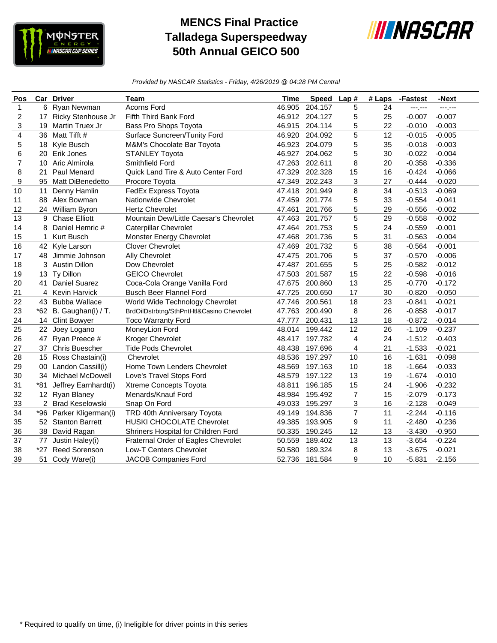

## **MENCS Final Practice Talladega Superspeedway 50th Annual GEICO 500**



*Provided by NASCAR Statistics - Friday, 4/26/2019 @ 04:28 PM Central*

| Pos            | Car             | <b>Driver</b>           | Team                                      | <b>Time</b> | <b>Speed</b> | Lap#           | $#$ Laps | -Fastest | -Next    |
|----------------|-----------------|-------------------------|-------------------------------------------|-------------|--------------|----------------|----------|----------|----------|
| $\mathbf{1}$   | 6               | Ryan Newman             | <b>Acorns Ford</b>                        | 46.905      | 204.157      | 5              | 24       | ---.---  | ---.---  |
| $\overline{c}$ | 17              | Ricky Stenhouse Jr      | Fifth Third Bank Ford                     | 46.912      | 204.127      | 5              | 25       | $-0.007$ | $-0.007$ |
| 3              | 19              | Martin Truex Jr         | Bass Pro Shops Toyota                     | 46.915      | 204.114      | 5              | 22       | $-0.010$ | $-0.003$ |
| 4              | 36              | Matt Tifft #            | Surface Suncreen/Tunity Ford              | 46.920      | 204.092      | 5              | 12       | $-0.015$ | $-0.005$ |
| 5              | 18              | Kyle Busch              | M&M's Chocolate Bar Toyota                | 46.923      | 204.079      | 5              | 35       | $-0.018$ | $-0.003$ |
| 6              | 20              | Erik Jones              | <b>STANLEY Toyota</b>                     | 46.927      | 204.062      | 5              | 30       | $-0.022$ | $-0.004$ |
| $\overline{7}$ | 10 <sup>°</sup> | Aric Almirola           | Smithfield Ford                           | 47.263      | 202.611      | 8              | 20       | $-0.358$ | $-0.336$ |
| 8              | 21              | <b>Paul Menard</b>      | Quick Land Tire & Auto Center Ford        | 47.329      | 202.328      | 15             | 16       | $-0.424$ | $-0.066$ |
| 9              | 95              | Matt DiBenedetto        | Procore Toyota                            | 47.349      | 202.243      | 3              | 27       | $-0.444$ | $-0.020$ |
| 10             | 11              | Denny Hamlin            | FedEx Express Toyota                      | 47.418      | 201.949      | 8              | 34       | $-0.513$ | $-0.069$ |
| 11             | 88              | Alex Bowman             | Nationwide Chevrolet                      | 47.459      | 201.774      | 5              | 33       | $-0.554$ | $-0.041$ |
| 12             |                 | 24 William Byron        | <b>Hertz Chevrolet</b>                    | 47.461      | 201.766      | 5              | 29       | $-0.556$ | $-0.002$ |
| 13             | 9               | <b>Chase Elliott</b>    | Mountain Dew/Little Caesar's Chevrolet    | 47.463      | 201.757      | 5              | 29       | $-0.558$ | $-0.002$ |
| 14             | 8               | Daniel Hemric #         | <b>Caterpillar Chevrolet</b>              | 47.464      | 201.753      | 5              | 24       | $-0.559$ | $-0.001$ |
| 15             | 1               | Kurt Busch              | Monster Energy Chevrolet                  | 47.468      | 201.736      | 5              | 31       | $-0.563$ | $-0.004$ |
| 16             |                 | 42 Kyle Larson          | <b>Clover Chevrolet</b>                   | 47.469      | 201.732      | 5              | 38       | $-0.564$ | $-0.001$ |
| 17             | 48              | Jimmie Johnson          | <b>Ally Chevrolet</b>                     | 47.475      | 201.706      | 5              | 37       | $-0.570$ | $-0.006$ |
| 18             |                 | 3 Austin Dillon         | Dow Chevrolet                             | 47.487      | 201.655      | 5              | 25       | $-0.582$ | $-0.012$ |
| 19             | 13              | Ty Dillon               | <b>GEICO Chevrolet</b>                    | 47.503      | 201.587      | 15             | 22       | $-0.598$ | $-0.016$ |
| 20             | 41              | <b>Daniel Suarez</b>    | Coca-Cola Orange Vanilla Ford             | 47.675      | 200.860      | 13             | 25       | $-0.770$ | $-0.172$ |
| 21             | 4               | <b>Kevin Harvick</b>    | <b>Busch Beer Flannel Ford</b>            | 47.725      | 200.650      | 17             | 30       | $-0.820$ | $-0.050$ |
| 22             |                 | 43 Bubba Wallace        | World Wide Technology Chevrolet           | 47.746      | 200.561      | 18             | 23       | $-0.841$ | $-0.021$ |
| 23             |                 | *62 B. Gaughan(i) / T.  | BrdOilDstrbtng/SthPntHtl&Casino Chevrolet | 47.763      | 200.490      | 8              | 26       | $-0.858$ | $-0.017$ |
| 24             |                 | 14 Clint Bowyer         | <b>Toco Warranty Ford</b>                 | 47.777      | 200.431      | 13             | 18       | $-0.872$ | $-0.014$ |
| 25             | 22              | Joey Logano             | MoneyLion Ford                            | 48.014      | 199.442      | 12             | 26       | $-1.109$ | $-0.237$ |
| 26             | 47              | Ryan Preece #           | Kroger Chevrolet                          | 48.417      | 197.782      | 4              | 24       | $-1.512$ | $-0.403$ |
| 27             | 37              | <b>Chris Buescher</b>   | <b>Tide Pods Chevrolet</b>                | 48.438      | 197.696      | 4              | 21       | $-1.533$ | $-0.021$ |
| 28             |                 | 15 Ross Chastain(i)     | Chevrolet                                 | 48.536      | 197.297      | 10             | 16       | $-1.631$ | $-0.098$ |
| 29             | 00              | Landon Cassill(i)       | Home Town Lenders Chevrolet               | 48.569      | 197.163      | 10             | 18       | $-1.664$ | $-0.033$ |
| 30             | 34              | Michael McDowell        | Love's Travel Stops Ford                  | 48.579      | 197.122      | 13             | 19       | $-1.674$ | $-0.010$ |
| 31             | $*81$           | Jeffrey Earnhardt(i)    | Xtreme Concepts Toyota                    | 48.811      | 196.185      | 15             | 24       | $-1.906$ | $-0.232$ |
| 32             |                 | 12 Ryan Blaney          | Menards/Knauf Ford                        | 48.984      | 195.492      | $\overline{7}$ | 15       | $-2.079$ | $-0.173$ |
| 33             |                 | 2 Brad Keselowski       | Snap On Ford                              | 49.033      | 195.297      | 3              | 16       | $-2.128$ | $-0.049$ |
| 34             |                 | *96 Parker Kligerman(i) | TRD 40th Anniversary Toyota               | 49.149      | 194.836      | $\overline{7}$ | 11       | $-2.244$ | $-0.116$ |
| 35             |                 | 52 Stanton Barrett      | <b>HUSKI CHOCOLATE Chevrolet</b>          | 49.385      | 193.905      | 9              | 11       | $-2.480$ | $-0.236$ |
| 36             | 38              | David Ragan             | Shriners Hospital for Children Ford       | 50.335      | 190.245      | 12             | 13       | $-3.430$ | $-0.950$ |
| 37             | 77              | Justin Haley(i)         | Fraternal Order of Eagles Chevrolet       | 50.559      | 189.402      | 13             | 13       | $-3.654$ | $-0.224$ |
| 38             | $*27$           | <b>Reed Sorenson</b>    | Low-T Centers Chevrolet                   | 50.580      | 189.324      | 8              | 13       | $-3.675$ | $-0.021$ |
| 39             | 51              | Cody Ware(i)            | <b>JACOB Companies Ford</b>               | 52.736      | 181.584      | 9              | 10       | $-5.831$ | $-2.156$ |